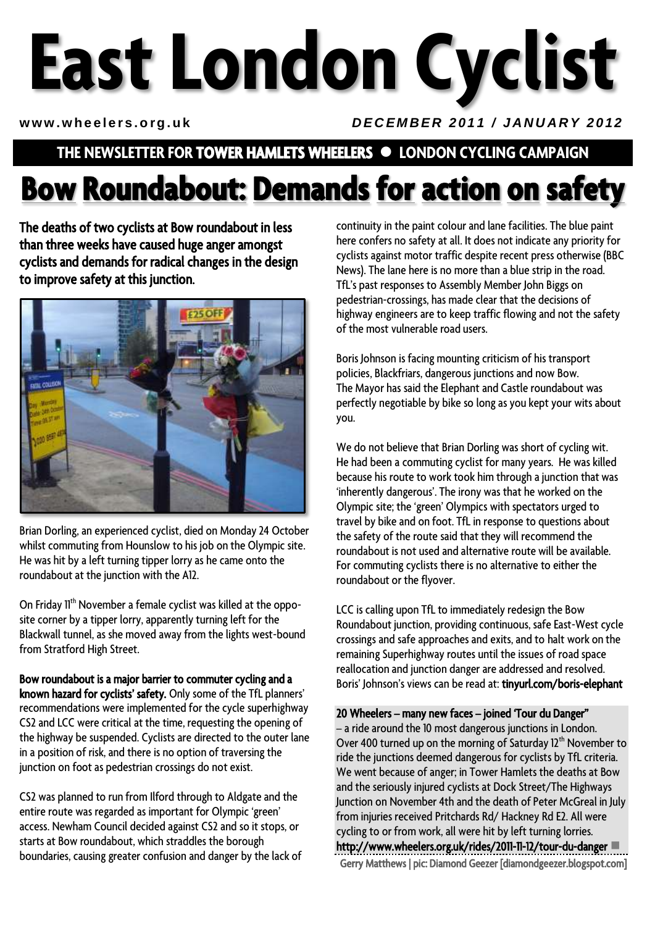# **East London Cyclist**

#### www.wheelers.org.uk *DECEMBER 2011 / JANUARY 2012*

## **THE NEWSLETTER FOR TOWER HAMLETS WHEELERS LONDON CYCLING CAMPAIGN**

# **Bow Roundabout: Demands for action on safety**

The deaths of two cyclists at Bow roundabout in less than three weeks have caused huge anger amongst cyclists and demands for radical changes in the design to improve safety at this junction.



Brian Dorling, an experienced cyclist, died on Monday 24 October whilst commuting from Hounslow to his job on the Olympic site. He was hit by a left turning tipper lorry as he came onto the roundabout at the junction with the A12.

On Friday 11<sup>th</sup> November a female cyclist was killed at the opposite corner by a tipper lorry, apparently turning left for the Blackwall tunnel, as she moved away from the lights west-bound from Stratford High Street.

Bow roundabout is a major barrier to commuter cycling and a known hazard for cyclists' safety. Only some of the TfL planners' recommendations were implemented for the cycle superhighway CS2 and LCC were critical at the time, requesting the opening of the highway be suspended. Cyclists are directed to the outer lane in a position of risk, and there is no option of traversing the junction on foot as pedestrian crossings do not exist.

CS2 was planned to run from Ilford through to Aldgate and the entire route was regarded as important for Olympic 'green' access. Newham Council decided against CS2 and so it stops, or starts at Bow roundabout, which straddles the borough boundaries, causing greater confusion and danger by the lack of continuity in the paint colour and lane facilities. The blue paint here confers no safety at all. It does not indicate any priority for cyclists against motor traffic despite recent press otherwise (BBC News). The lane here is no more than a blue strip in the road. TfL's past responses to Assembly Member John Biggs on pedestrian-crossings, has made clear that the decisions of highway engineers are to keep traffic flowing and not the safety of the most vulnerable road users.

Boris Johnson is facing mounting criticism of his transport policies, Blackfriars, dangerous junctions and now Bow. The Mayor has said the Elephant and Castle roundabout was perfectly negotiable by bike so long as you kept your wits about you.

We do not believe that Brian Dorling was short of cycling wit. He had been a commuting cyclist for many years. He was killed because his route to work took him through a junction that was 'inherently dangerous'. The irony was that he worked on the Olympic site; the 'green' Olympics with spectators urged to travel by bike and on foot. TfL in response to questions about the safety of the route said that they will recommend the roundabout is not used and alternative route will be available. For commuting cyclists there is no alternative to either the roundabout or the flyover.

LCC is calling upon TfL to immediately redesign the Bow Roundabout junction, providing continuous, safe East-West cycle crossings and safe approaches and exits, and to halt work on the remaining Superhighway routes until the issues of road space reallocation and junction danger are addressed and resolved. Boris' Johnson's views can be read at: tinyurl.com/boris-elephant

20 Wheelers – many new faces – joined 'Tour du Danger"

– a ride around the 10 most dangerous junctions in London. Over 400 turned up on the morning of Saturday  $12<sup>th</sup>$  November to ride the junctions deemed dangerous for cyclists by TfL criteria. We went because of anger; in Tower Hamlets the deaths at Bow and the seriously injured cyclists at Dock Street/The Highways Junction on November 4th and the death of Peter McGreal in July from injuries received Pritchards Rd/ Hackney Rd E2. All were cycling to or from work, all were hit by left turning lorries. http://www.wheelers.org.uk/rides/2011-11-12/tour-du-danger Gerry Matthews | pic: Diamond Geezer [diamondgeezer.blogspot.com]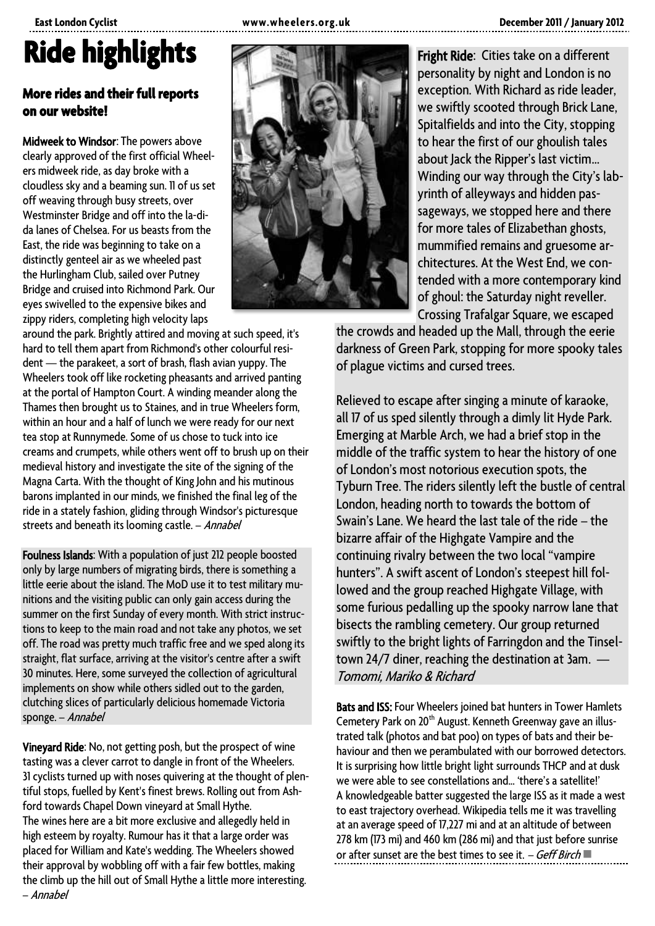#### **East London Cyclist www.wheelers.org. uk December 2011 / January 2012**

# **Ride highlights**

#### **More rides and their full reports on our website!**

Midweek to Windsor: The powers above clearly approved of the first official Wheelers midweek ride, as day broke with a cloudless sky and a beaming sun. 11 of us set off weaving through busy streets, over Westminster Bridge and off into the la-dida lanes of Chelsea. For us beasts from the East, the ride was beginning to take on a distinctly genteel air as we wheeled past the Hurlingham Club, sailed over Putney Bridge and cruised into Richmond Park. Our eyes swivelled to the expensive bikes and zippy riders, completing high velocity laps

around the park. Brightly attired and moving at such speed, it's hard to tell them apart from Richmond's other colourful resident — the parakeet, a sort of brash, flash avian yuppy. The Wheelers took off like rocketing pheasants and arrived panting at the portal of Hampton Court. A winding meander along the Thames then brought us to Staines, and in true Wheelers form, within an hour and a half of lunch we were ready for our next tea stop at Runnymede. Some of us chose to tuck into ice creams and crumpets, while others went off to brush up on their medieval history and investigate the site of the signing of the Magna Carta. With the thought of King John and his mutinous barons implanted in our minds, we finished the final leg of the ride in a stately fashion, gliding through Windsor's picturesque streets and beneath its looming castle. - Annabel

Foulness Islands: With a population of just 212 people boosted only by large numbers of migrating birds, there is something a little eerie about the island. The MoD use it to test military munitions and the visiting public can only gain access during the summer on the first Sunday of every month. With strict instructions to keep to the main road and not take any photos, we set off. The road was pretty much traffic free and we sped along its straight, flat surface, arriving at the visitor's centre after a swift 30 minutes. Here, some surveyed the collection of agricultural implements on show while others sidled out to the garden, clutching slices of particularly delicious homemade Victoria sponge. – Annabel

Vineyard Ride: No, not getting posh, but the prospect of wine tasting was a clever carrot to dangle in front of the Wheelers. 31 cyclists turned up with noses quivering at the thought of plentiful stops, fuelled by Kent's finest brews. Rolling out from Ashford towards Chapel Down vineyard at Small Hythe. The wines here are a bit more exclusive and allegedly held in high esteem by royalty. Rumour has it that a large order was placed for William and Kate's wedding. The Wheelers showed their approval by wobbling off with a fair few bottles, making the climb up the hill out of Small Hythe a little more interesting. – Annabel



Fright Ride: Cities take on a different personality by night and London is no exception. With Richard as ride leader, we swiftly scooted through Brick Lane, Spitalfields and into the City, stopping to hear the first of our ghoulish tales about Jack the Ripper's last victim… Winding our way through the City's labyrinth of alleyways and hidden passageways, we stopped here and there for more tales of Elizabethan ghosts, mummified remains and gruesome architectures. At the West End, we contended with a more contemporary kind of ghoul: the Saturday night reveller. Crossing Trafalgar Square, we escaped

the crowds and headed up the Mall, through the eerie darkness of Green Park, stopping for more spooky tales of plague victims and cursed trees.

Relieved to escape after singing a minute of karaoke, all 17 of us sped silently through a dimly lit Hyde Park. Emerging at Marble Arch, we had a brief stop in the middle of the traffic system to hear the history of one of London's most notorious execution spots, the Tyburn Tree. The riders silently left the bustle of central London, heading north to towards the bottom of Swain's Lane. We heard the last tale of the ride – the bizarre affair of the Highgate Vampire and the continuing rivalry between the two local "vampire hunters". A swift ascent of London's steepest hill followed and the group reached Highgate Village, with some furious pedalling up the spooky narrow lane that bisects the rambling cemetery. Our group returned swiftly to the bright lights of Farringdon and the Tinseltown 24/7 diner, reaching the destination at 3am. — Tomomi, Mariko & Richard

Bats and ISS: Four Wheelers joined bat hunters in Tower Hamlets Cemetery Park on 20<sup>th</sup> August. Kenneth Greenway gave an illustrated talk (photos and bat poo) on types of bats and their behaviour and then we perambulated with our borrowed detectors. It is surprising how little bright light surrounds THCP and at dusk we were able to see constellations and... 'there's a satellite!' A knowledgeable batter suggested the large ISS as it made a west to east trajectory overhead. Wikipedia tells me it was travelling at an average speed of 17,227 mi and at an altitude of between 278 km (173 mi) and 460 km (286 mi) and that just before sunrise or after sunset are the best times to see it.  $-$  Geff Birch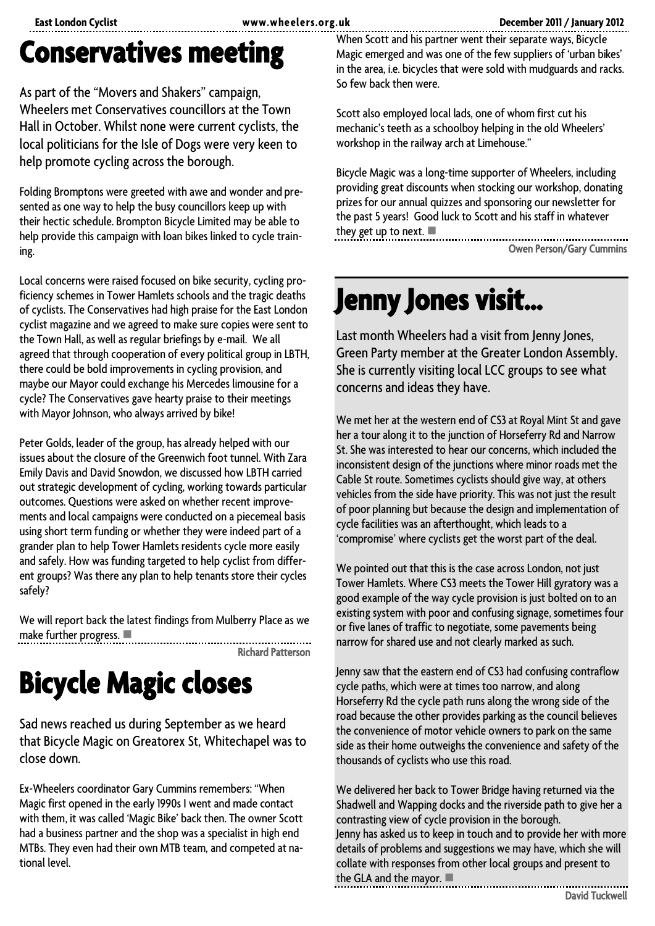## **Conservatives meeting**

As part of the "Movers and Shakers" campaign, Wheelers met Conservatives councillors at the Town Hall in October. Whilst none were current cyclists, the local politicians for the Isle of Dogs were very keen to help promote cycling across the borough.

Folding Bromptons were greeted with awe and wonder and presented as one way to help the busy councillors keep up with their hectic schedule. Brompton Bicycle Limited may be able to help provide this campaign with loan bikes linked to cycle training.

Local concerns were raised focused on bike security, cycling proficiency schemes in Tower Hamlets schools and the tragic deaths of cyclists. The Conservatives had high praise for the East London cyclist magazine and we agreed to make sure copies were sent to the Town Hall, as well as regular briefings by e-mail. We all agreed that through cooperation of every political group in LBTH, there could be bold improvements in cycling provision, and maybe our Mayor could exchange his Mercedes limousine for a cycle? The Conservatives gave hearty praise to their meetings with Mayor Johnson, who always arrived by bike!

Peter Golds, leader of the group, has already helped with our issues about the closure of the Greenwich foot tunnel. With Zara Emily Davis and David Snowdon, we discussed how LBTH carried out strategic development of cycling, working towards particular outcomes. Questions were asked on whether recent improvements and local campaigns were conducted on a piecemeal basis using short term funding or whether they were indeed part of a grander plan to help Tower Hamlets residents cycle more easily and safely. How was funding targeted to help cyclist from different groups? Was there any plan to help tenants store their cycles safely?

We will report back the latest findings from Mulberry Place as we make further progress.

Richard Patterson

# **Bicycle Magic closes**

Sad news reached us during September as we heard that Bicycle Magic on Greatorex St, Whitechapel was to close down.

Ex-Wheelers coordinator Gary Cummins remembers: "When Magic first opened in the early 1990s I went and made contact with them, it was called 'Magic Bike' back then. The owner Scott had a business partner and the shop was a specialist in high end MTBs. They even had their own MTB team, and competed at national level.

When Scott and his partner went their separate ways, Bicycle Magic emerged and was one of the few suppliers of 'urban bikes' in the area, i.e. bicycles that were sold with mudguards and racks. So few back then were.

Scott also employed local lads, one of whom first cut his mechanic's teeth as a schoolboy helping in the old Wheelers' workshop in the railway arch at Limehouse."

Bicycle Magic was a long-time supporter of Wheelers, including providing great discounts when stocking our workshop, donating prizes for our annual quizzes and sponsoring our newsletter for the past 5 years! Good luck to Scott and his staff in whatever they get up to next.

Owen Person/Gary Cummins

## **Jenny Jones visit…**

Last month Wheelers had a visit from Jenny Jones, Green Party member at the Greater London Assembly. She is currently visiting local LCC groups to see what concerns and ideas they have.

We met her at the western end of CS3 at Royal Mint St and gave her a tour along it to the junction of Horseferry Rd and Narrow St. She was interested to hear our concerns, which included the inconsistent design of the junctions where minor roads met the Cable St route. Sometimes cyclists should give way, at others vehicles from the side have priority. This was not just the result of poor planning but because the design and implementation of cycle facilities was an afterthought, which leads to a 'compromise' where cyclists get the worst part of the deal.

We pointed out that this is the case across London, not just Tower Hamlets. Where CS3 meets the Tower Hill gyratory was a good example of the way cycle provision is just bolted on to an existing system with poor and confusing signage, sometimes four or five lanes of traffic to negotiate, some pavements being narrow for shared use and not clearly marked as such.

Jenny saw that the eastern end of CS3 had confusing contraflow cycle paths, which were at times too narrow, and along Horseferry Rd the cycle path runs along the wrong side of the road because the other provides parking as the council believes the convenience of motor vehicle owners to park on the same side as their home outweighs the convenience and safety of the thousands of cyclists who use this road.

We delivered her back to Tower Bridge having returned via the Shadwell and Wapping docks and the riverside path to give her a contrasting view of cycle provision in the borough. Jenny has asked us to keep in touch and to provide her with more details of problems and suggestions we may have, which she will collate with responses from other local groups and present to the GLA and the mayor.